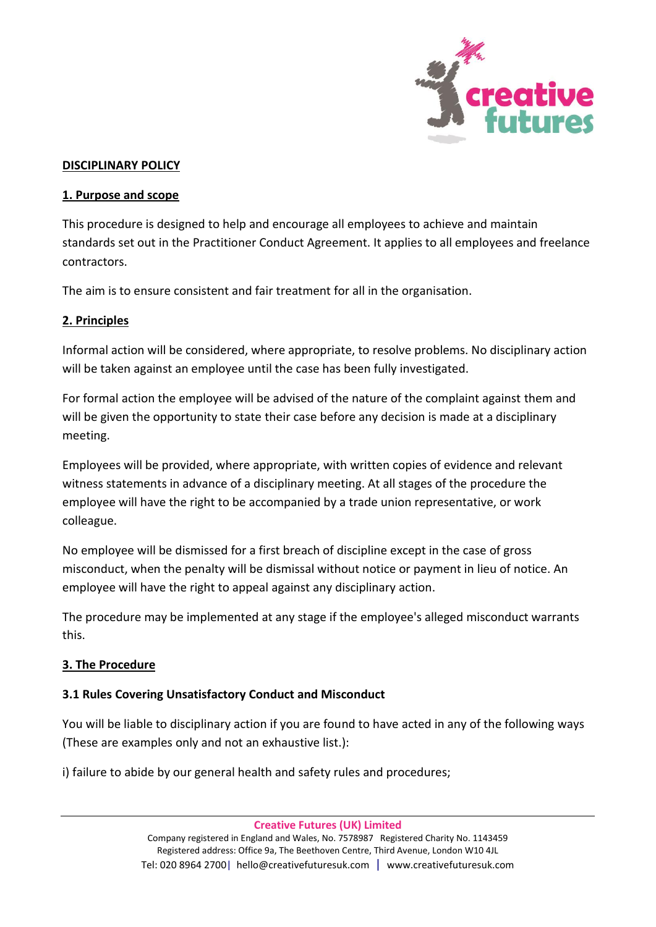

#### **DISCIPLINARY POLICY**

#### **1. Purpose and scope**

This procedure is designed to help and encourage all employees to achieve and maintain standards set out in the Practitioner Conduct Agreement. It applies to all employees and freelance contractors.

The aim is to ensure consistent and fair treatment for all in the organisation.

#### **2. Principles**

Informal action will be considered, where appropriate, to resolve problems. No disciplinary action will be taken against an employee until the case has been fully investigated.

For formal action the employee will be advised of the nature of the complaint against them and will be given the opportunity to state their case before any decision is made at a disciplinary meeting.

Employees will be provided, where appropriate, with written copies of evidence and relevant witness statements in advance of a disciplinary meeting. At all stages of the procedure the employee will have the right to be accompanied by a trade union representative, or work colleague.

No employee will be dismissed for a first breach of discipline except in the case of gross misconduct, when the penalty will be dismissal without notice or payment in lieu of notice. An employee will have the right to appeal against any disciplinary action.

The procedure may be implemented at any stage if the employee's alleged misconduct warrants this.

### **3. The Procedure**

### **3.1 Rules Covering Unsatisfactory Conduct and Misconduct**

You will be liable to disciplinary action if you are found to have acted in any of the following ways (These are examples only and not an exhaustive list.):

i) failure to abide by our general health and safety rules and procedures;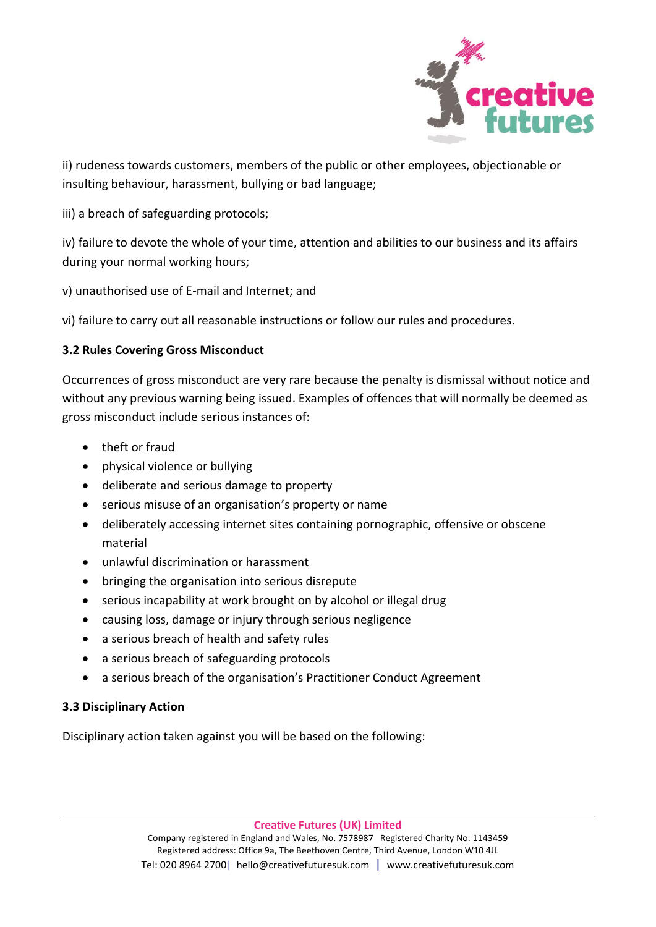

ii) rudeness towards customers, members of the public or other employees, objectionable or insulting behaviour, harassment, bullying or bad language;

## iii) a breach of safeguarding protocols;

iv) failure to devote the whole of your time, attention and abilities to our business and its affairs during your normal working hours;

v) unauthorised use of E-mail and Internet; and

vi) failure to carry out all reasonable instructions or follow our rules and procedures.

# **3.2 Rules Covering Gross Misconduct**

Occurrences of gross misconduct are very rare because the penalty is dismissal without notice and without any previous warning being issued. Examples of offences that will normally be deemed as gross misconduct include serious instances of:

- theft or fraud
- physical violence or bullying
- deliberate and serious damage to property
- serious misuse of an organisation's property or name
- deliberately accessing internet sites containing pornographic, offensive or obscene material
- unlawful discrimination or harassment
- bringing the organisation into serious disrepute
- serious incapability at work brought on by alcohol or illegal drug
- causing loss, damage or injury through serious negligence
- a serious breach of health and safety rules
- a serious breach of safeguarding protocols
- a serious breach of the organisation's Practitioner Conduct Agreement

### **3.3 Disciplinary Action**

Disciplinary action taken against you will be based on the following: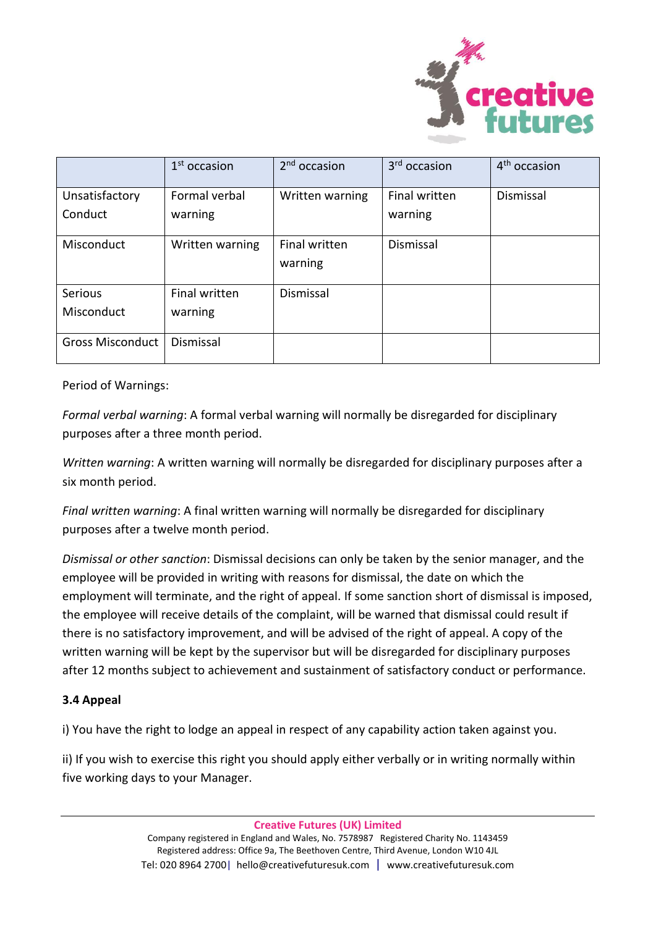

|                         | $1st$ occasion  | $2nd$ occasion           | 3 <sup>rd</sup> occasion | 4 <sup>th</sup> occasion |
|-------------------------|-----------------|--------------------------|--------------------------|--------------------------|
| Unsatisfactory          | Formal verbal   | Written warning          | <b>Final written</b>     | Dismissal                |
| Conduct                 | warning         |                          | warning                  |                          |
| Misconduct              | Written warning | Final written<br>warning | <b>Dismissal</b>         |                          |
| <b>Serious</b>          | Final written   | Dismissal                |                          |                          |
| Misconduct              | warning         |                          |                          |                          |
| <b>Gross Misconduct</b> | Dismissal       |                          |                          |                          |

Period of Warnings:

*Formal verbal warning*: A formal verbal warning will normally be disregarded for disciplinary purposes after a three month period.

*Written warning*: A written warning will normally be disregarded for disciplinary purposes after a six month period.

*Final written warning*: A final written warning will normally be disregarded for disciplinary purposes after a twelve month period.

*Dismissal or other sanction*: Dismissal decisions can only be taken by the senior manager, and the employee will be provided in writing with reasons for dismissal, the date on which the employment will terminate, and the right of appeal. If some sanction short of dismissal is imposed, the employee will receive details of the complaint, will be warned that dismissal could result if there is no satisfactory improvement, and will be advised of the right of appeal. A copy of the written warning will be kept by the supervisor but will be disregarded for disciplinary purposes after 12 months subject to achievement and sustainment of satisfactory conduct or performance.

### **3.4 Appeal**

i) You have the right to lodge an appeal in respect of any capability action taken against you.

ii) If you wish to exercise this right you should apply either verbally or in writing normally within five working days to your Manager.